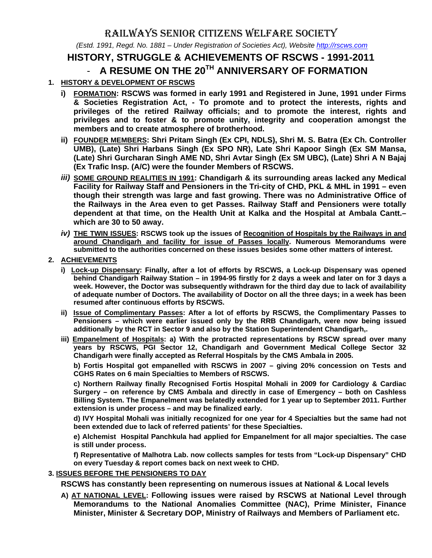# RAILWAYS SENIOR CITIZENS WELFARE SOCIETY

 *(Estd. 1991, Regd. No. 1881 – Under Registration of Societies Act), Website http://rscws.com*

## **HISTORY, STRUGGLE & ACHIEVEMENTS OF RSCWS - 1991-2011**

# - **A RESUME ON THE 20TH ANNIVERSARY OF FORMATION**

## **1. HISTORY & DEVELOPMENT OF RSCWS**

- **i) FORMATION: RSCWS was formed in early 1991 and Registered in June, 1991 under Firms & Societies Registration Act, - To promote and to protect the interests, rights and privileges of the retired Railway officials; and to promote the interest, rights and privileges and to foster & to promote unity, integrity and cooperation amongst the members and to create atmosphere of brotherhood.**
- **ii) FOUNDER MEMBERS: Shri Pritam Singh (Ex CPI, NDLS), Shri M. S. Batra (Ex Ch. Controller UMB), (Late) Shri Harbans Singh (Ex SPO NR), Late Shri Kapoor Singh (Ex SM Mansa, (Late) Shri Gurcharan Singh AME ND, Shri Avtar Singh (Ex SM UBC), (Late) Shri A N Bajaj (Ex Trafic Insp. (A/C) were the founder Members of RSCWS.**
- *iii)* **SOME GROUND REALITIES IN 1991: Chandigarh & its surrounding areas lacked any Medical Facility for Railway Staff and Pensioners in the Tri-city of CHD, PKL & MHL in 1991 – even though their strength was large and fast growing. There was no Administrative Office of the Railways in the Area even to get Passes. Railway Staff and Pensioners were totally dependent at that time, on the Health Unit at Kalka and the Hospital at Ambala Cantt.– which are 30 to 50 away.**
- *iv)* **THE TWIN ISSUES: RSCWS took up the issues of Recognition of Hospitals by the Railways in and around Chandigarh and facility for issue of Passes locally. Numerous Memorandums were submitted to the authorities concerned on these issues besides some other matters of interest.**

### **2. ACHIEVEMENTS**

- **i) Lock-up Dispensary: Finally, after a lot of efforts by RSCWS, a Lock-up Dispensary was opened behind Chandigarh Railway Station – in 1994-95 firstly for 2 days a week and later on for 3 days a week. However, the Doctor was subsequently withdrawn for the third day due to lack of availability of adequate number of Doctors. The availability of Doctor on all the three days; in a week has been resumed after continuous efforts by RSCWS.**
- **ii) Issue of Complimentary Passes: After a lot of efforts by RSCWS, the Complimentary Passes to Pensioners – which were earlier issued only by the RRB Chandigarh, were now being issued additionally by the RCT in Sector 9 and also by the Station Superintendent Chandigarh,.**
- **iii) Empanelment of Hospitals: a) With the protracted representations by RSCW spread over many years by RSCWS, PGI Sector 12, Chandigarh and Government Medical College Sector 32 Chandigarh were finally accepted as Referral Hospitals by the CMS Ambala in 2005.**

**b) Fortis Hospital got empanelled with RSCWS in 2007 – giving 20% concession on Tests and CGHS Rates on 6 main Specialties to Members of RSCWS.** 

**c) Northern Railway finally Recognised Fortis Hospital Mohali in 2009 for Cardiology & Cardiac Surgery – on reference by CMS Ambala and directly in case of Emergency – both on Cashless Billing System. The Empanelment was belatedly extended for 1 year up to September 2011. Further extension is under process – and may be finalized early.** 

**d) IVY Hospital Mohali was initially recognized for one year for 4 Specialties but the same had not been extended due to lack of referred patients' for these Specialties.** 

**e) Alchemist Hospital Panchkula had applied for Empanelment for all major specialties. The case is still under process.** 

**f) Representative of Malhotra Lab. now collects samples for tests from "Lock-up Dispensary" CHD on every Tuesday & report comes back on next week to CHD.** 

#### **3. ISSUES BEFORE THE PENSIONERS TO DAY**

**RSCWS has constantly been representing on numerous issues at National & Local levels**

**A) AT NATIONAL LEVEL: Following issues were raised by RSCWS at National Level through Memorandums to the National Anomalies Committee (NAC), Prime Minister, Finance Minister, Minister & Secretary DOP, Ministry of Railways and Members of Parliament etc.**